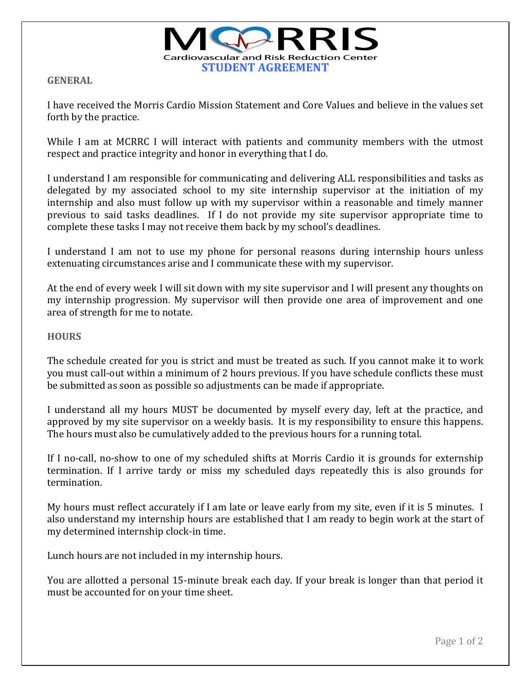

**GENERAL**

I have received the Morris Cardio Mission Statement and Core Values and believe in the values set forth by the practice.

While I am at MCRRC I will interact with patients and community members with the utmost respect and practice integrity and honor in everything that I do.

I understand I am responsible for communicating and delivering ALL responsibilities and tasks as delegated by my associated school to my site internship supervisor at the initiation of my internship and also must follow up with my supervisor within a reasonable and timely manner previous to said tasks deadlines. If I do not provide my site supervisor appropriate time to complete these tasks I may not receive them back by my school's deadlines.

I understand I am not to use my phone for personal reasons during internship hours unless extenuating circumstances arise and I communicate these with my supervisor.

At the end of every week I will sit down with my site supervisor and I will present any thoughts on my internship progression. My supervisor will then provide one area of improvement and one area of strength for me to notate.

## **HOURS**

The schedule created for you is strict and must be treated as such. If you cannot make it to work you must call-out within a minimum of 2 hours previous. If you have schedule conflicts these must be submitted as soon as possible so adjustments can be made if appropriate.

I understand all my hours MUST be documented by myself every day, left at the practice, and approved by my site supervisor on a weekly basis. It is my responsibility to ensure this happens. The hours must also be cumulatively added to the previous hours for a running total.

If I no-call, no-show to one of my scheduled shifts at Morris Cardio it is grounds for externship termination. If I arrive tardy or miss my scheduled days repeatedly this is also grounds for termination.

My hours must reflect accurately if I am late or leave early from my site, even if it is 5 minutes. I also understand my internship hours are established that I am ready to begin work at the start of my determined internship clock-in time.

Lunch hours are not included in my internship hours.

You are allotted a personal 15-minute break each day. If your break is longer than that period it must be accounted for on your time sheet.